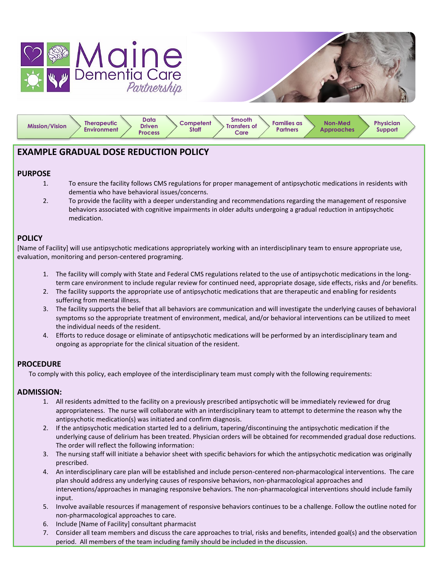



| Data<br><b>Therapeutic</b><br><b>Mission/Vision</b><br><b>Driven</b><br>Environment<br><b>Process</b> | <b>Smooth</b><br><b>Families as</b><br>Competent<br><b>Transfers of</b><br><b>Staff</b><br><b>Partners</b><br>Care | <b>Non-Med</b><br><b>Approaches</b> | Physician<br>Support |  |
|-------------------------------------------------------------------------------------------------------|--------------------------------------------------------------------------------------------------------------------|-------------------------------------|----------------------|--|
|-------------------------------------------------------------------------------------------------------|--------------------------------------------------------------------------------------------------------------------|-------------------------------------|----------------------|--|

# **EXAMPLE GRADUAL DOSE REDUCTION POLICY**

## **PURPOSE**

- 1. To ensure the facility follows CMS regulations for proper management of antipsychotic medications in residents with dementia who have behavioral issues/concerns.
- 2. To provide the facility with a deeper understanding and recommendations regarding the management of responsive behaviors associated with cognitive impairments in older adults undergoing a gradual reduction in antipsychotic medication.

## **POLICY**

[Name of Facility] will use antipsychotic medications appropriately working with an interdisciplinary team to ensure appropriate use, evaluation, monitoring and person-centered programing.

- 1. The facility will comply with State and Federal CMS regulations related to the use of antipsychotic medications in the longterm care environment to include regular review for continued need, appropriate dosage, side effects, risks and /or benefits.
- 2. The facility supports the appropriate use of antipsychotic medications that are therapeutic and enabling for residents suffering from mental illness.
- 3. The facility supports the belief that all behaviors are communication and will investigate the underlying causes of behavioral symptoms so the appropriate treatment of environment, medical, and/or behavioral interventions can be utilized to meet the individual needs of the resident.
- 4. Efforts to reduce dosage or eliminate of antipsychotic medications will be performed by an interdisciplinary team and ongoing as appropriate for the clinical situation of the resident.

## **PROCEDURE**

To comply with this policy, each employee of the interdisciplinary team must comply with the following requirements:

## **ADMISSION:**

- 1. All residents admitted to the facility on a previously prescribed antipsychotic will be immediately reviewed for drug appropriateness. The nurse will collaborate with an interdisciplinary team to attempt to determine the reason why the antipsychotic medication(s) was initiated and confirm diagnosis.
- 2. If the antipsychotic medication started led to a delirium, tapering/discontinuing the antipsychotic medication if the underlying cause of delirium has been treated. Physician orders will be obtained for recommended gradual dose reductions. The order will reflect the following information:
- 3. The nursing staff will initiate a behavior sheet with specific behaviors for which the antipsychotic medication was originally prescribed.
- 4. An interdisciplinary care plan will be established and include person-centered non-pharmacological interventions. The care plan should address any underlying causes of responsive behaviors, non-pharmacological approaches and interventions/approaches in managing responsive behaviors. The non-pharmacological interventions should include family input.
- 5. Involve available resources if management of responsive behaviors continues to be a challenge. Follow the outline noted for non-pharmacological approaches to care.
- 6. Include [Name of Facility] consultant pharmacist
- 7. Consider all team members and discuss the care approaches to trial, risks and benefits, intended goal(s) and the observation period. All members of the team including family should be included in the discussion.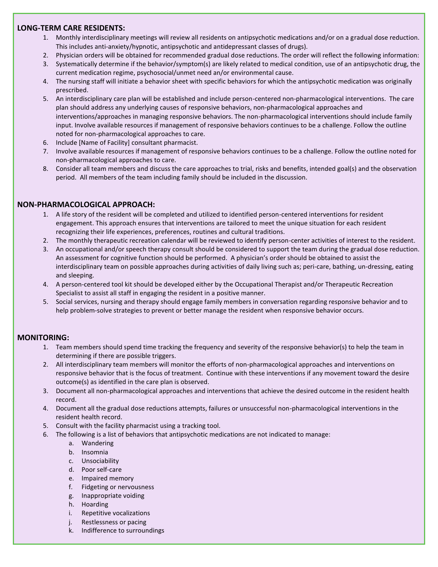## **LONG-TERM CARE RESIDENTS:**

- 1. Monthly interdisciplinary meetings will review all residents on antipsychotic medications and/or on a gradual dose reduction. This includes anti-anxiety/hypnotic, antipsychotic and antidepressant classes of drugs).
- 2. Physician orders will be obtained for recommended gradual dose reductions. The order will reflect the following information:
- 3. Systematically determine if the behavior/symptom(s) are likely related to medical condition, use of an antipsychotic drug, the current medication regime, psychosocial/unmet need an/or environmental cause.
- 4. The nursing staff will initiate a behavior sheet with specific behaviors for which the antipsychotic medication was originally prescribed.
- 5. An interdisciplinary care plan will be established and include person-centered non-pharmacological interventions. The care plan should address any underlying causes of responsive behaviors, non-pharmacological approaches and interventions/approaches in managing responsive behaviors. The non-pharmacological interventions should include family input. Involve available resources if management of responsive behaviors continues to be a challenge. Follow the outline noted for non-pharmacological approaches to care.
- 6. Include [Name of Facility] consultant pharmacist.
- 7. Involve available resources if management of responsive behaviors continues to be a challenge. Follow the outline noted for non-pharmacological approaches to care.
- 8. Consider all team members and discuss the care approaches to trial, risks and benefits, intended goal(s) and the observation period. All members of the team including family should be included in the discussion.

### **NON-PHARMACOLOGICAL APPROACH:**

- 1. A life story of the resident will be completed and utilized to identified person-centered interventions for resident engagement. This approach ensures that interventions are tailored to meet the unique situation for each resident recognizing their life experiences, preferences, routines and cultural traditions.
- 2. The monthly therapeutic recreation calendar will be reviewed to identify person-center activities of interest to the resident.
- 3. An occupational and/or speech therapy consult should be considered to support the team during the gradual dose reduction. An assessment for cognitive function should be performed. A physician's order should be obtained to assist the interdisciplinary team on possible approaches during activities of daily living such as; peri-care, bathing, un-dressing, eating and sleeping.
- 4. A person-centered tool kit should be developed either by the Occupational Therapist and/or Therapeutic Recreation Specialist to assist all staff in engaging the resident in a positive manner.
- 5. Social services, nursing and therapy should engage family members in conversation regarding responsive behavior and to help problem-solve strategies to prevent or better manage the resident when responsive behavior occurs.

#### **MONITORING:**

- 1. Team members should spend time tracking the frequency and severity of the responsive behavior(s) to help the team in determining if there are possible triggers.
- 2. All interdisciplinary team members will monitor the efforts of non-pharmacological approaches and interventions on responsive behavior that is the focus of treatment. Continue with these interventions if any movement toward the desire outcome(s) as identified in the care plan is observed.
- 3. Document all non-pharmacological approaches and interventions that achieve the desired outcome in the resident health record.
- 4. Document all the gradual dose reductions attempts, failures or unsuccessful non-pharmacological interventions in the resident health record.
- 5. Consult with the facility pharmacist using a tracking tool.
- 6. The following is a list of behaviors that antipsychotic medications are not indicated to manage:
	- a. Wandering
	- b. Insomnia
	- c. Unsociability
	- d. Poor self-care
	- e. Impaired memory
	- f. Fidgeting or nervousness
	- g. Inappropriate voiding
	- h. Hoarding
	- i. Repetitive vocalizations
	- j. Restlessness or pacing
	- k. Indifference to surroundings